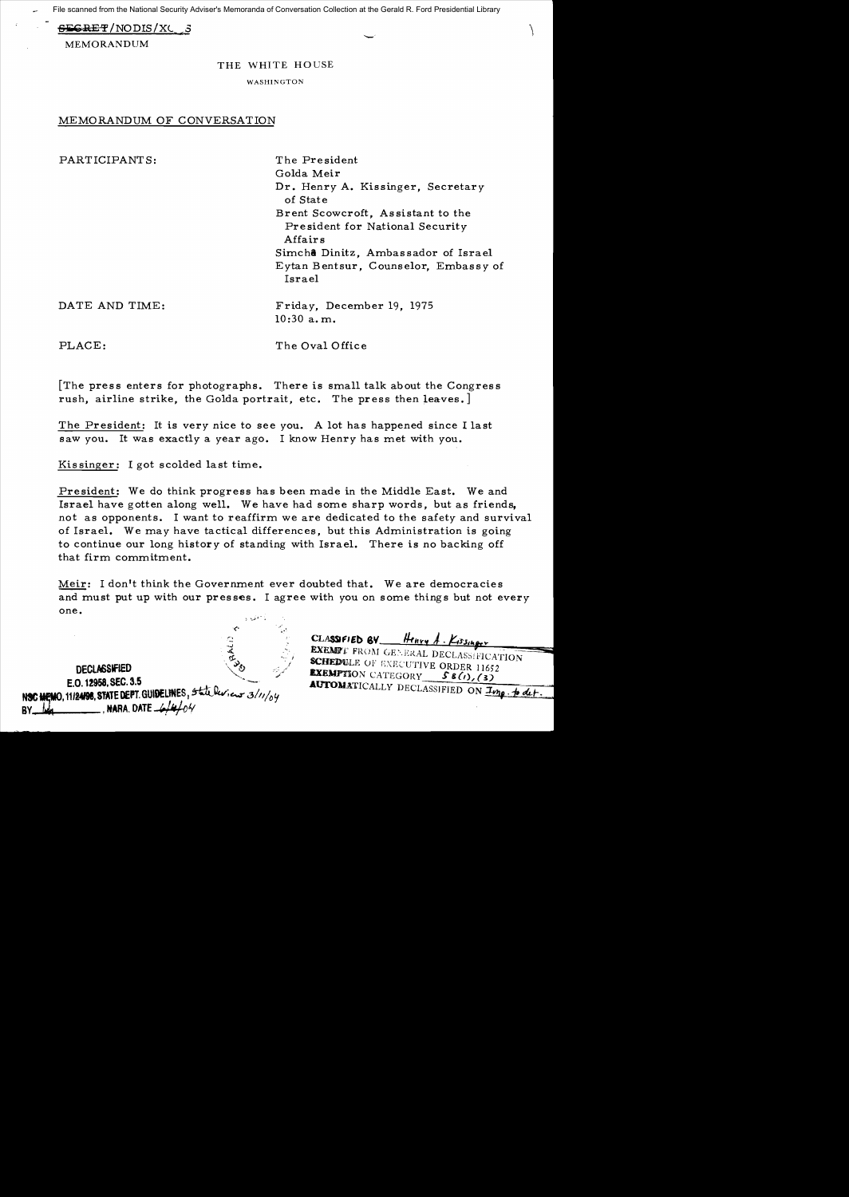File scanned from the National Security Adviser's Memoranda of Conversation Collection at the Gerald R. Ford Presidential Library

 $\tt{SEGREF/NODIS/XC}$  .3

MEMORANDUM

## THE WHITE HOUSE

WASHINGTON

## MEMORANDUM OF CONVERSATION

| PARTICIPANTS:  | The President<br>Golda Meir<br>Dr. Henry A. Kissinger, Secretary<br>of State          |
|----------------|---------------------------------------------------------------------------------------|
|                | Brent Scowcroft, Assistant to the<br>President for National Security<br>Affairs       |
|                | Simcha Dinitz, Ambassador of Israel<br>Eytan Bentsur, Counselor, Embassy of<br>Israel |
| DATE AND TIME: | Friday, December 19, 1975<br>$10:30$ a.m.                                             |

PLACE: The Oval Office

[The press enters for photographs. There is small talk about the Congress rush, airline strike, the Golda portrait, etc. The press then leaves.]

The President: It is very nice to see you. A lot has happened since I last saw you. It was exactly a year ago. I know Henry has met with you.

Kis singer: I got scolded last time.

President: We do think progress has been made in the Middle East. We and Israel have gotten along well. We have had some sharp words, but as friends, not as opponents. I want to reaffirm we are dedicated to the safety and survival of Israel. We may have tactical differences, but this Administration is going to continue our long histor *y* of standing with Israel. There is no backing off that firm commitment.

Meir: I don't think the Government ever doubted that. We are democracies and must put up with our presses. I agree with you on some things but not every one.

,.

C, -.1

4  $\mathbf{c}$  is a set of  $\mathbf{d}$ DECLASSIFIED Model must put up with our presses.<br>
Rec.<br>
DECLASSIFIED<br>
E.O. 12958, SEC. 3.5<br>
1124796, STATE DEPT. GUIDELINES, State leview 3/  $\frac{3}{2}$ NSC MEMO, 11/24/98, STATE DEPT. GUIDELINES, 5 tale keview 3/11/04  $B$ NARA. DATE  $-4$ 

Henry A. Kissinger CLASSIFIED BY **EXEMPT FROM GENERAL DECLASSIFICATION SCHEDULE OF EXECUTIVE ORDER 11652** EXEMPTION CATEGORY  $S(1), (3)$ **AUTOMATICALLY DECLASSIFIED ON**  $I_{mp}$ **.**  $\neq$  dt.

 $\sim$   $\sim$   $\sim$   $\sim$   $\sim$   $\sim$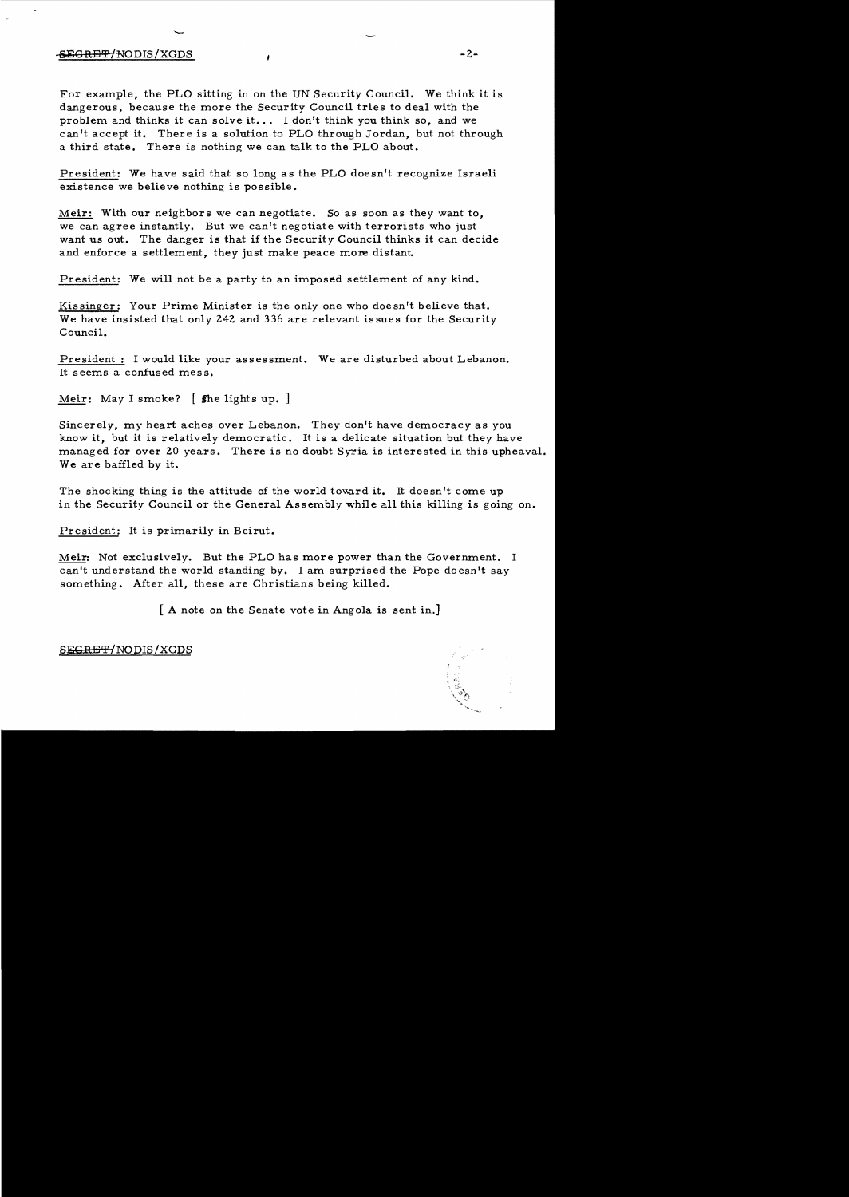## - $-$ <del>SEGRET/</del>NODIS/XGDS  $-2-$

For example, the PLO sitting in on the UN Security Council. We think it is dangerous, because the more the Security Council tries to deal with the problem and thinks it can solve it... I don't think you think so, and we can't accept it. There is a solution to PLO through Jordan, but not through a third state. There is nothing we can talk to the PLO about.

President: We have said that so long as the PLO doesn't recognize Israeli existence we believe nothing is possible.

Meir: With our neighbors we can negotiate. So as soon as they want to, we can agree instantly. But we can't negotiate with terrorists who just want us out. The danger is that if the Security Council thinks it can decide and enforce a settlement, they just make peace more distant.

President: We will not be a party to an imposed settlement of any kind.

Kissinger: Your Prime Minister is the only one who doesn't believe that. We have insisted that only 242 and 336 are relevant issues for the Security Council.

President: I would like your assessment. We are disturbed about Lebanon. It seems a confused mess.

Meir: May I smoke?  $\lceil \frac{\xi}{\xi} \rceil$  she lights up. ]

Sincerely, my heart aches over Lebanon. They don't have democracy as you know it, but it is relatively democratic. It is a delicate situation but they have managed for over 20 years. There is no doubt Syria is interested in this upheaval. We are baffled by it.

The shocking thing is the attitude of the world toward it. It doesn't come up in the Security Council or the General Assembly while all this killing is going on.

President: It is primarily in Beirut.

Meir: Not exclusively. But the PLO has more power than the Government. I can't understand the world standing by. I am surprised the Pope doesn't say something. After all, these are Christians being killed.

[ A note on the Senate vote in Angola is sent in.]

SEGRET/NODIS/XGDS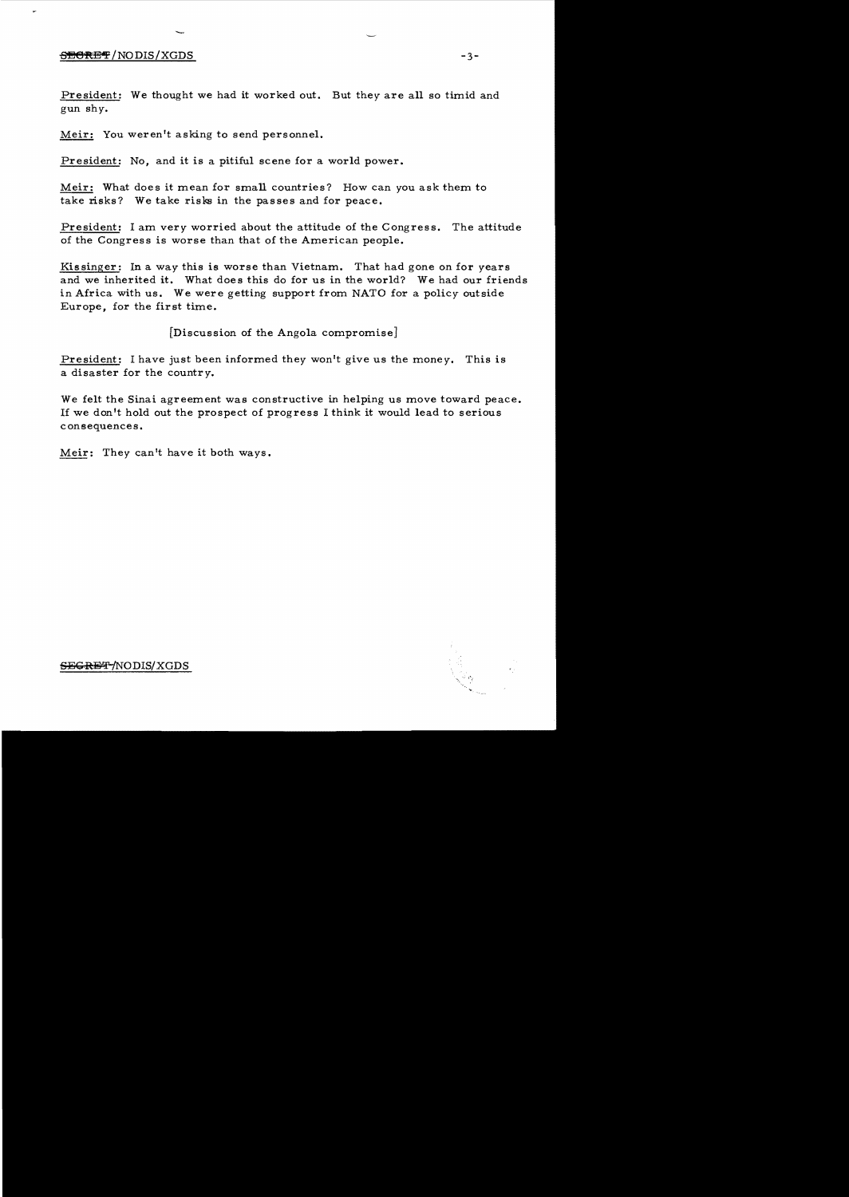## enterprise to the set of the set of the set of the set of the set of the set of the set of the set of the set of the set of the set of the set of the set of the set of the set of the set of the set of the set of the set of

President: We thought we had it worked out. But they are all so timid and gun shy.

Meir: You weren't asking to send personnel.

President: No, and it is a pitiful scene for a world power.

Meir: What does it mean for small countries? How can you ask them to take risks? We take risks in the passes and for peace.

President: I am very worried about the attitude of the Congress. The attitude of the Congress is worse than that of the American people.

Kissinger: In a way this is worse than Vietnam. That had gone on for years and we inherited it. What does this do for us in the world? We had our friends in Africa with us. We were getting support from NATO for a policy outside Europe, for the first time.

[Discussion of the Angola compromise]

President: I have just been informed they won't give us the money. This is a disaster for the country.

We felt the Sinai agreement was constructive in helping us move toward peace. If we don't hold out the prospect of progress I think it would lead to serious consequences.

Meir: They can't have it both ways.

SEGRET/NODIS/XGDS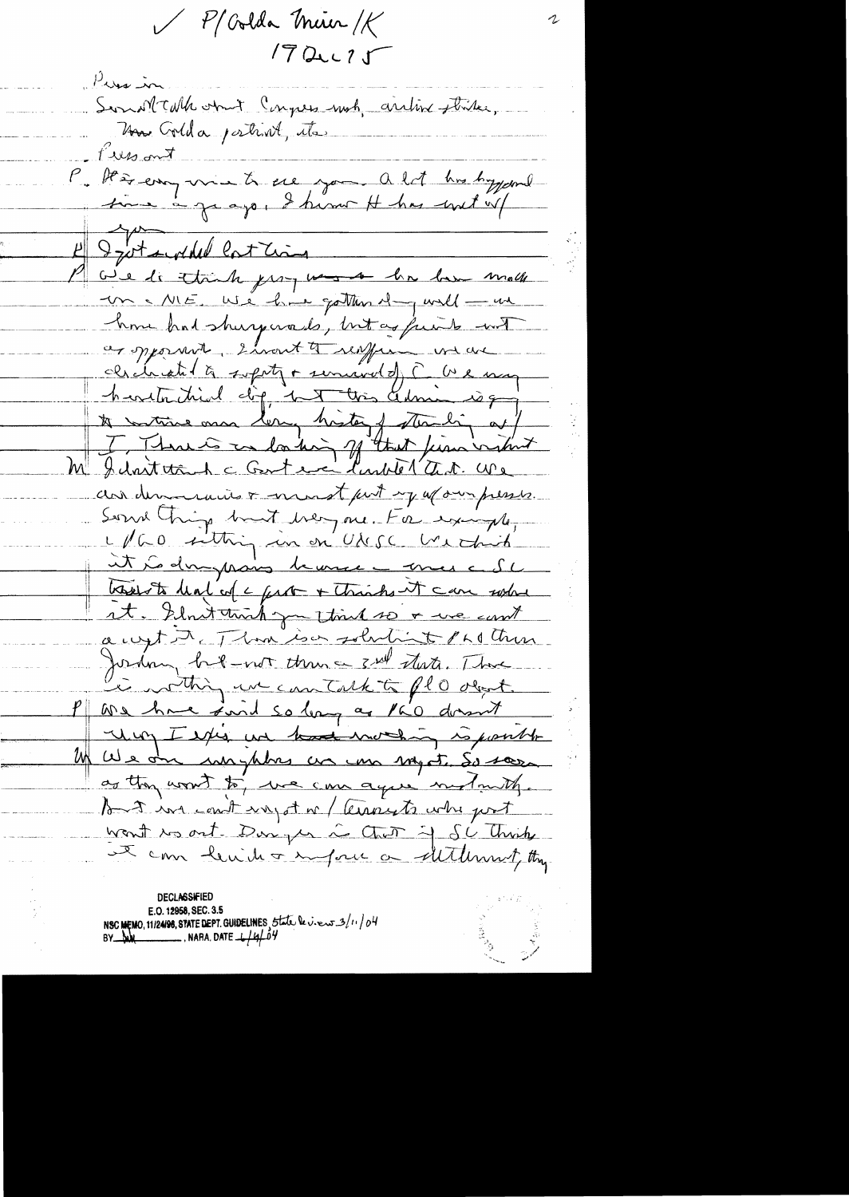V P/Colda Muin/K  $1702275$ 

Pussin. Somaltable otroit Congress mot, article plaiter, How Golda postint, its twee out P. De se empire te est par a let hus hypord  $E\left( \frac{1}{2\pi}\right)$  de la France are to think progress he has malle un ME We have gatten dag will no home had sharperads, but as friends with as sportant short to respond us are cerchiate la supote or semando à la succession de mag to sortine mon l'en, history ptantin av / M I Maiteaux contra minister financient an demonsion nont put y a our presses. Some Tring but hey one. For exige to U/60 sitting in on UNSC Use this it is douglasis because - mes c SC tracerate lead cof a factor + Thracks it can sortal et. Ilmit think you think so + we can't augt AcThan ison solutient Photon Jordan bil-not than a 3 nd state. The is writing un constable to flO deat. We have jurid so leag as 160 dormit Way I exis un had moding is pourle We are un plus un un mot. So son as they won't to, we can agree motionth. But we cont every ot or / terrorists who just want is ort. Donger in Chris if SC Thisk I can bewil a surface a ditternet, they

**DECLASSIFIED** E.O. 12958, SEC. 3.5 NSC MEMO, 11/24/98, STATE DEPT. GUIDELINES, State le viens 3/11/04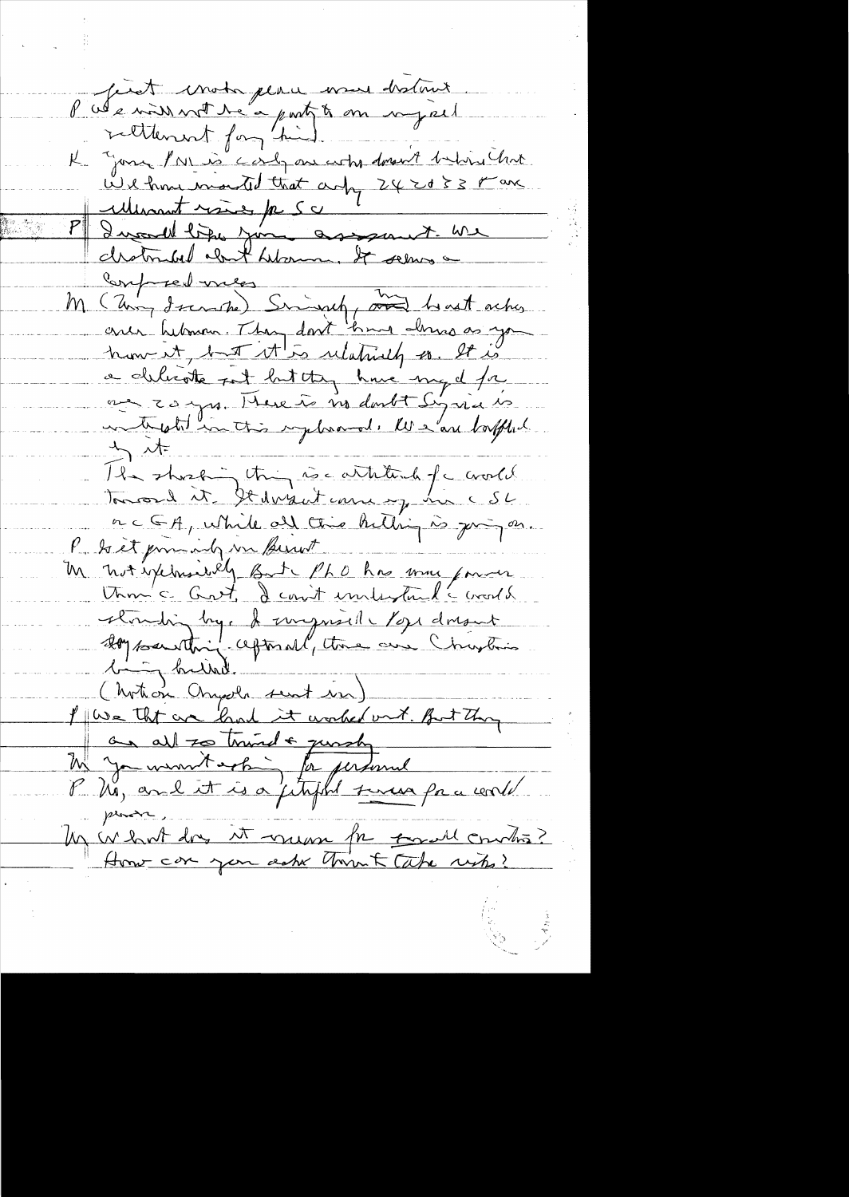feret mota place mes distant P véeninnt de apart à me vijeel K Jong PNI is carly one works done to bine hat Wilhou month that any 24 20 3 3 Fax Missout roses pc Sc Incended like you assessment we chatrical clark hibanne. It seems a Confred mes M ( Uning Secretary) Simily and heart achos creer between. They don't know almos as you how it, but it is relatively as. It is a delicate pet but they have my d for au 20 jus. Hue à no dont Syria is Jut The shocking thing is cartitude of c world rcGA, while all this hilling is juing on. P. Set pom ing un punt M not spermierly But PLO has more proven structing by harrywith / of dreams 20g santoni captural, the cure Chrystin buind. (hotel Chypole sent in) I we that are land it worked out. But they In you won't work just to performed prove, Un in lant don it welcome for toward countrie?